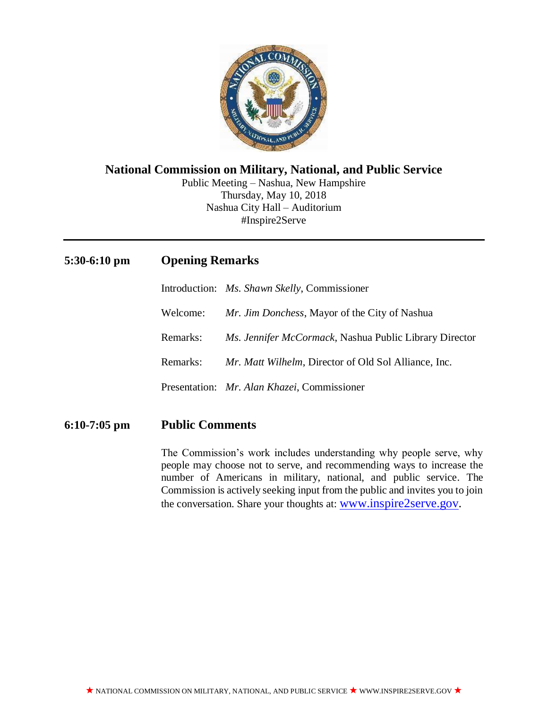

### **National Commission on Military, National, and Public Service**

Public Meeting – Nashua, New Hampshire Thursday, May 10, 2018 Nashua City Hall – Auditorium #Inspire2Serve

# **5:30-6:10 pm Opening Remarks**

Introduction: *Ms. Shawn Skelly*, Commissioner Welcome: *Mr. Jim Donchess*, Mayor of the City of Nashua

Remarks: *Ms. Jennifer McCormack*, Nashua Public Library Director

Remarks: *Mr. Matt Wilhelm*, Director of Old Sol Alliance, Inc.

Presentation: *Mr. Alan Khazei*, Commissioner

## **6:10-7:05 pm Public Comments**

The Commission's work includes understanding why people serve, why people may choose not to serve, and recommending ways to increase the number of Americans in military, national, and public service. The Commission is actively seeking input from the public and invites you to join the conversation. Share your thoughts at: [www.inspire2serve.gov.](http://www.inspire2serve.gov/)